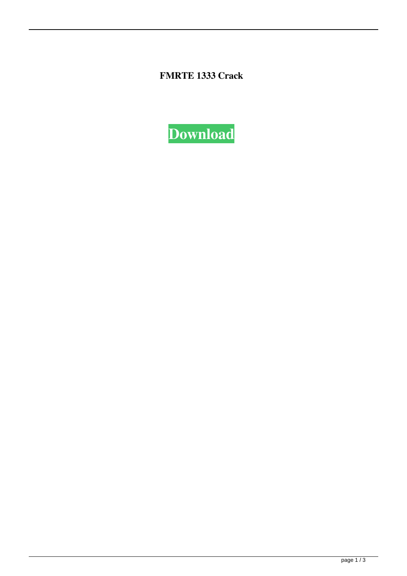**FMRTE 1333 Crack**

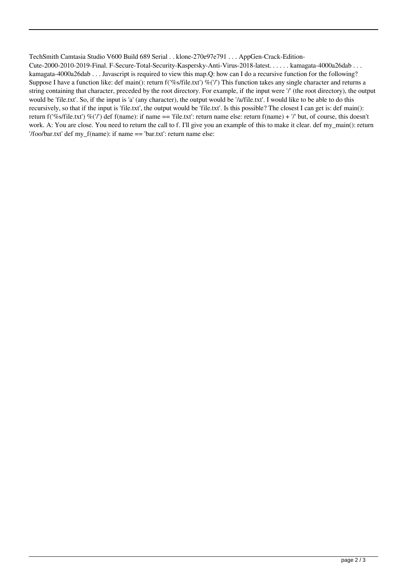## TechSmith Camtasia Studio V600 Build 689 Serial . . klone-270e97e791 . . . AppGen-Crack-Edition-

Cute-2000-2010-2019-Final. F-Secure-Total-Security-Kaspersky-Anti-Virus-2018-latest. . . . . . kamagata-4000a26dab . . . kamagata-4000a26dab . . . Javascript is required to view this map.Q: how can I do a recursive function for the following? Suppose I have a function like: def main(): return  $f('\%s/file.txt')\%(')$  This function takes any single character and returns a string containing that character, preceded by the root directory. For example, if the input were '/' (the root directory), the output would be 'file.txt'. So, if the input is 'a' (any character), the output would be '/a/file.txt'. I would like to be able to do this recursively, so that if the input is 'file.txt', the output would be 'file.txt'. Is this possible? The closest I can get is: def main(): return f('%s/file.txt') %('/') def f(name): if name == 'file.txt': return name else: return f(name) + '/' but, of course, this doesn't work. A: You are close. You need to return the call to f. I'll give you an example of this to make it clear. def my main(): return '/foo/bar.txt' def my\_f(name): if name == 'bar.txt': return name else: